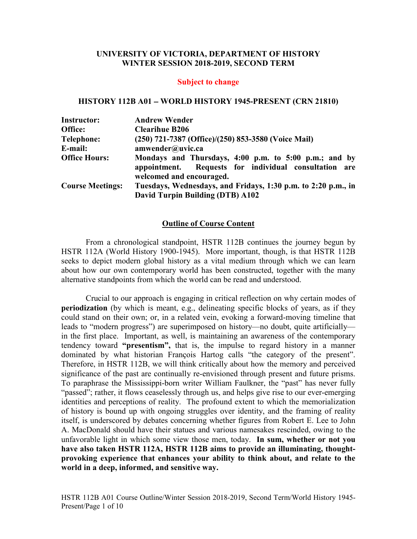### **UNIVERSITY OF VICTORIA, DEPARTMENT OF HISTORY WINTER SESSION 2018-2019, SECOND TERM**

#### **Subject to change**

#### **HISTORY 112B A01** − **WORLD HISTORY 1945-PRESENT (CRN 21810)**

| <b>Instructor:</b>      | <b>Andrew Wender</b>                                                                                                                       |  |  |
|-------------------------|--------------------------------------------------------------------------------------------------------------------------------------------|--|--|
| Office:                 | <b>Clearihue B206</b>                                                                                                                      |  |  |
| <b>Telephone:</b>       | (250) 721-7387 (Office)/(250) 853-3580 (Voice Mail)                                                                                        |  |  |
| E-mail:                 | amwender@uvic.ca                                                                                                                           |  |  |
| <b>Office Hours:</b>    | Mondays and Thursdays, 4:00 p.m. to 5:00 p.m.; and by<br>appointment. Requests for individual consultation are<br>welcomed and encouraged. |  |  |
| <b>Course Meetings:</b> | Tuesdays, Wednesdays, and Fridays, 1:30 p.m. to 2:20 p.m., in                                                                              |  |  |
|                         | David Turpin Building (DTB) A102                                                                                                           |  |  |

#### **Outline of Course Content**

From a chronological standpoint, HSTR 112B continues the journey begun by HSTR 112A (World History 1900-1945). More important, though, is that HSTR 112B seeks to depict modern global history as a vital medium through which we can learn about how our own contemporary world has been constructed, together with the many alternative standpoints from which the world can be read and understood.

Crucial to our approach is engaging in critical reflection on why certain modes of **periodization** (by which is meant, e.g., delineating specific blocks of years, as if they could stand on their own; or, in a related vein, evoking a forward-moving timeline that leads to "modern progress") are superimposed on history—no doubt, quite artificially in the first place. Important, as well, is maintaining an awareness of the contemporary tendency toward **"presentism",** that is, the impulse to regard history in a manner dominated by what historian François Hartog calls "the category of the present". Therefore, in HSTR 112B, we will think critically about how the memory and perceived significance of the past are continually re-envisioned through present and future prisms. To paraphrase the Mississippi-born writer William Faulkner, the "past" has never fully "passed"; rather, it flows ceaselessly through us, and helps give rise to our ever-emerging identities and perceptions of reality. The profound extent to which the memorialization of history is bound up with ongoing struggles over identity, and the framing of reality itself, is underscored by debates concerning whether figures from Robert E. Lee to John A. MacDonald should have their statues and various namesakes rescinded, owing to the unfavorable light in which some view those men, today. **In sum, whether or not you have also taken HSTR 112A, HSTR 112B aims to provide an illuminating, thoughtprovoking experience that enhances your ability to think about, and relate to the world in a deep, informed, and sensitive way.** 

HSTR 112B A01 Course Outline/Winter Session 2018-2019, Second Term/World History 1945- Present/Page 1 of 10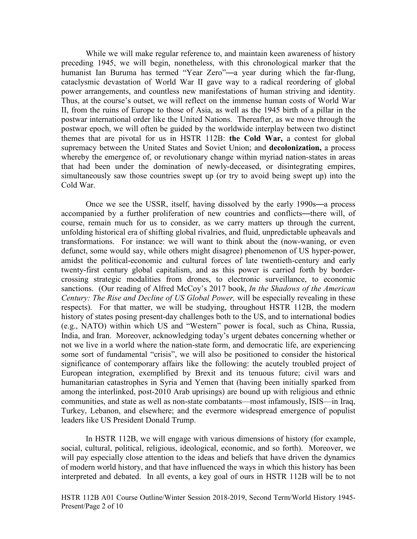While we will make regular reference to, and maintain keen awareness of history preceding 1945, we will begin, nonetheless, with this chronological marker that the humanist Ian Buruma has termed "Year Zero"—a year during which the far-flung, cataclysmic devastation of World War II gave way to a radical reordering of global power arrangements, and countless new manifestations of human striving and identity. Thus, at the course's outset, we will reflect on the immense human costs of World War II, from the ruins of Europe to those of Asia, as well as the 1945 birth of a pillar in the postwar international order like the United Nations. Thereafter, as we move through the postwar epoch, we will often be guided by the worldwide interplay between two distinct themes that are pivotal for us in HSTR 112B: **the Cold War,** a contest for global supremacy between the United States and Soviet Union; and **decolonization,** a process whereby the emergence of, or revolutionary change within myriad nation-states in areas that had been under the domination of newly-deceased, or disintegrating empires, simultaneously saw those countries swept up (or try to avoid being swept up) into the Cold War.

Once we see the USSR, itself, having dissolved by the early 1990s—a process accompanied by a further proliferation of new countries and conflicts—there will, of course, remain much for us to consider, as we carry matters up through the current, unfolding historical era of shifting global rivalries, and fluid, unpredictable upheavals and transformations. For instance: we will want to think about the (now-waning, or even defunct, some would say, while others might disagree) phenomenon of US hyper-power, amidst the political-economic and cultural forces of late twentieth-century and early twenty-first century global capitalism, and as this power is carried forth by bordercrossing strategic modalities from drones, to electronic surveillance, to economic sanctions. (Our reading of Alfred McCoy's 2017 book, *In the Shadows of the American Century: The Rise and Decline of US Global Power,* will be especially revealing in these respects). For that matter, we will be studying, throughout HSTR 112B, the modern history of states posing present-day challenges both to the US, and to international bodies (e.g., NATO) within which US and "Western" power is focal, such as China, Russia, India, and Iran. Moreover, acknowledging today's urgent debates concerning whether or not we live in a world where the nation-state form, and democratic life, are experiencing some sort of fundamental "crisis", we will also be positioned to consider the historical significance of contemporary affairs like the following: the acutely troubled project of European integration, exemplified by Brexit and its tenuous future; civil wars and humanitarian catastrophes in Syria and Yemen that (having been initially sparked from among the interlinked, post-2010 Arab uprisings) are bound up with religious and ethnic communities, and state as well as non-state combatants—most infamously, ISIS—in Iraq, Turkey, Lebanon, and elsewhere; and the evermore widespread emergence of populist leaders like US President Donald Trump.

In HSTR 112B, we will engage with various dimensions of history (for example, social, cultural, political, religious, ideological, economic, and so forth). Moreover, we will pay especially close attention to the ideas and beliefs that have driven the dynamics of modern world history, and that have influenced the ways in which this history has been interpreted and debated. In all events, a key goal of ours in HSTR 112B will be to not

HSTR 112B A01 Course Outline/Winter Session 2018-2019, Second Term/World History 1945- Present/Page 2 of 10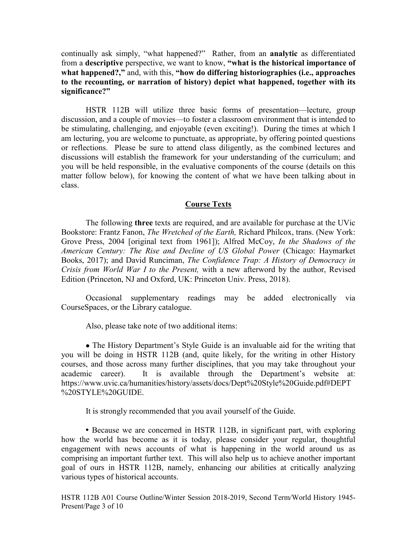continually ask simply, "what happened?" Rather, from an **analytic** as differentiated from a **descriptive** perspective, we want to know, **"what is the historical importance of what happened?,"** and, with this, **"how do differing historiographies (i.e., approaches to the recounting, or narration of history) depict what happened, together with its significance?"**

HSTR 112B will utilize three basic forms of presentation—lecture, group discussion, and a couple of movies—to foster a classroom environment that is intended to be stimulating, challenging, and enjoyable (even exciting!). During the times at which I am lecturing, you are welcome to punctuate, as appropriate, by offering pointed questions or reflections. Please be sure to attend class diligently, as the combined lectures and discussions will establish the framework for your understanding of the curriculum; and you will be held responsible, in the evaluative components of the course (details on this matter follow below), for knowing the content of what we have been talking about in class.

## **Course Texts**

The following **three** texts are required, and are available for purchase at the UVic Bookstore: Frantz Fanon, *The Wretched of the Earth,* Richard Philcox, trans. (New York: Grove Press, 2004 [original text from 1961]); Alfred McCoy, *In the Shadows of the American Century: The Rise and Decline of US Global Power* (Chicago: Haymarket Books, 2017); and David Runciman, *The Confidence Trap: A History of Democracy in Crisis from World War I to the Present,* with a new afterword by the author, Revised Edition (Princeton, NJ and Oxford, UK: Princeton Univ. Press, 2018).

Occasional supplementary readings may be added electronically via CourseSpaces, or the Library catalogue.

Also, please take note of two additional items:

• The History Department's Style Guide is an invaluable aid for the writing that you will be doing in HSTR 112B (and, quite likely, for the writing in other History courses, and those across many further disciplines, that you may take throughout your academic career). It is available through the Department's website at: https://www.uvic.ca/humanities/history/assets/docs/Dept%20Style%20Guide.pdf#DEPT %20STYLE%20GUIDE.

It is strongly recommended that you avail yourself of the Guide.

**•** Because we are concerned in HSTR 112B, in significant part, with exploring how the world has become as it is today, please consider your regular, thoughtful engagement with news accounts of what is happening in the world around us as comprising an important further text. This will also help us to achieve another important goal of ours in HSTR 112B, namely, enhancing our abilities at critically analyzing various types of historical accounts.

HSTR 112B A01 Course Outline/Winter Session 2018-2019, Second Term/World History 1945- Present/Page 3 of 10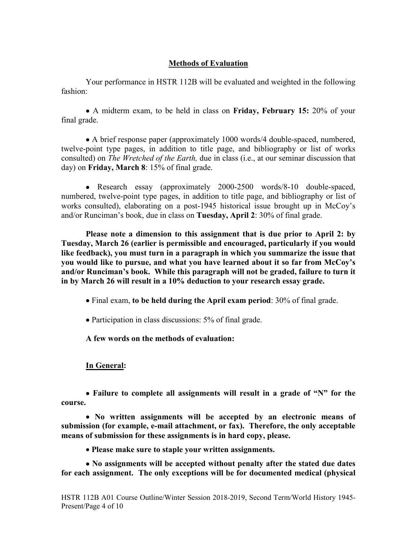# **Methods of Evaluation**

Your performance in HSTR 112B will be evaluated and weighted in the following fashion:

• A midterm exam, to be held in class on **Friday, February 15:** 20% of your final grade.

• A brief response paper (approximately 1000 words/4 double-spaced, numbered, twelve-point type pages, in addition to title page, and bibliography or list of works consulted) on *The Wretched of the Earth,* due in class (i.e., at our seminar discussion that day) on **Friday, March 8**: 15% of final grade.

• Research essay (approximately 2000-2500 words/8-10 double-spaced, numbered, twelve-point type pages, in addition to title page, and bibliography or list of works consulted), elaborating on a post-1945 historical issue brought up in McCoy's and/or Runciman's book, due in class on **Tuesday, April 2**: 30% of final grade.

**Please note a dimension to this assignment that is due prior to April 2: by Tuesday, March 26 (earlier is permissible and encouraged, particularly if you would like feedback), you must turn in a paragraph in which you summarize the issue that you would like to pursue, and what you have learned about it so far from McCoy's and/or Runciman's book. While this paragraph will not be graded, failure to turn it in by March 26 will result in a 10% deduction to your research essay grade.**

• Final exam, **to be held during the April exam period**: 30% of final grade.

• Participation in class discussions: 5% of final grade.

**A few words on the methods of evaluation:**

# **In General:**

• **Failure to complete all assignments will result in a grade of "N" for the course.**

• **No written assignments will be accepted by an electronic means of submission (for example, e-mail attachment, or fax). Therefore, the only acceptable means of submission for these assignments is in hard copy, please.**

• **Please make sure to staple your written assignments.**

• **No assignments will be accepted without penalty after the stated due dates for each assignment. The only exceptions will be for documented medical (physical**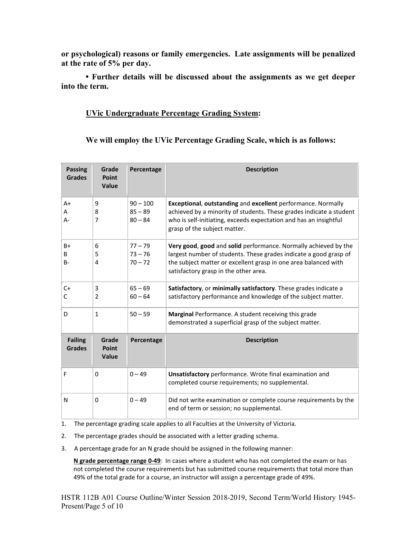**or psychological) reasons or family emergencies. Late assignments will be penalized at the rate of 5% per day.** 

**• Further details will be discussed about the assignments as we get deeper into the term.**

## **UVic Undergraduate Percentage Grading System:**

**We will employ the UVic Percentage Grading Scale, which is as follows:**

| <b>Passing</b><br><b>Grades</b> | Grade<br><b>Point</b><br>Value | Percentage                           | <b>Description</b>                                                                                                                                                                                                                               |
|---------------------------------|--------------------------------|--------------------------------------|--------------------------------------------------------------------------------------------------------------------------------------------------------------------------------------------------------------------------------------------------|
| $A+$<br>Α<br>$A -$              | 9<br>8<br>7                    | $90 - 100$<br>$85 - 89$<br>$80 - 84$ | Exceptional, outstanding and excellent performance. Normally<br>achieved by a minority of students. These grades indicate a student<br>who is self-initiating, exceeds expectation and has an insightful<br>grasp of the subject matter.         |
| $B+$<br>B<br>$B -$              | 6<br>5<br>4                    | $77 - 79$<br>$73 - 76$<br>$70 - 72$  | Very good, good and solid performance. Normally achieved by the<br>largest number of students. These grades indicate a good grasp of<br>the subject matter or excellent grasp in one area balanced with<br>satisfactory grasp in the other area. |
| $C+$<br>C                       | 3<br>$\overline{2}$            | $65 - 69$<br>$60 - 64$               | Satisfactory, or minimally satisfactory. These grades indicate a<br>satisfactory performance and knowledge of the subject matter.                                                                                                                |
| D                               | $\mathbf{1}$                   | $50 - 59$                            | <b>Marginal</b> Performance. A student receiving this grade<br>demonstrated a superficial grasp of the subject matter.                                                                                                                           |
| <b>Failing</b><br><b>Grades</b> | Grade<br><b>Point</b><br>Value | Percentage                           | <b>Description</b>                                                                                                                                                                                                                               |
| F                               | 0                              | $0 - 49$                             | Unsatisfactory performance. Wrote final examination and<br>completed course requirements; no supplemental.                                                                                                                                       |
| N                               | 0                              | $0 - 49$                             | Did not write examination or complete course requirements by the<br>end of term or session; no supplemental.                                                                                                                                     |

1. The percentage grading scale applies to all Faculties at the University of Victoria.

2. The percentage grades should be associated with a letter grading schema.

3. A percentage grade for an N grade should be assigned in the following manner:

 **N grade percentage range 0-49**: In cases where a student who has not completed the exam or has not completed the course requirements but has submitted course requirements that total more than 49% of the total grade for a course, an instructor will assign a percentage grade of 49%.

HSTR 112B A01 Course Outline/Winter Session 2018-2019, Second Term/World History 1945- Present/Page 5 of 10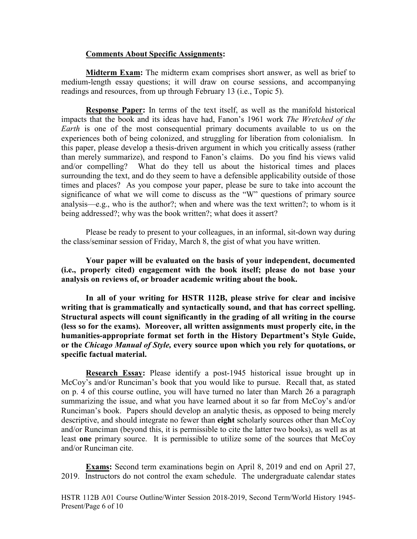### **Comments About Specific Assignments:**

**Midterm Exam:** The midterm exam comprises short answer, as well as brief to medium-length essay questions; it will draw on course sessions, and accompanying readings and resources, from up through February 13 (i.e., Topic 5).

**Response Paper:** In terms of the text itself, as well as the manifold historical impacts that the book and its ideas have had, Fanon's 1961 work *The Wretched of the Earth* is one of the most consequential primary documents available to us on the experiences both of being colonized, and struggling for liberation from colonialism. In this paper, please develop a thesis-driven argument in which you critically assess (rather than merely summarize), and respond to Fanon's claims. Do you find his views valid and/or compelling? What do they tell us about the historical times and places surrounding the text, and do they seem to have a defensible applicability outside of those times and places? As you compose your paper, please be sure to take into account the significance of what we will come to discuss as the "W" questions of primary source analysis—e.g., who is the author?; when and where was the text written?; to whom is it being addressed?; why was the book written?; what does it assert?

Please be ready to present to your colleagues, in an informal, sit-down way during the class/seminar session of Friday, March 8, the gist of what you have written.

**Your paper will be evaluated on the basis of your independent, documented (i.e., properly cited) engagement with the book itself; please do not base your analysis on reviews of, or broader academic writing about the book.**

**In all of your writing for HSTR 112B, please strive for clear and incisive writing that is grammatically and syntactically sound, and that has correct spelling. Structural aspects will count significantly in the grading of all writing in the course (less so for the exams). Moreover, all written assignments must properly cite, in the humanities-appropriate format set forth in the History Department's Style Guide, or the** *Chicago Manual of Style,* **every source upon which you rely for quotations, or specific factual material.**

**Research Essay:** Please identify a post-1945 historical issue brought up in McCoy's and/or Runciman's book that you would like to pursue. Recall that, as stated on p. 4 of this course outline, you will have turned no later than March 26 a paragraph summarizing the issue, and what you have learned about it so far from McCoy's and/or Runciman's book. Papers should develop an analytic thesis, as opposed to being merely descriptive, and should integrate no fewer than **eight** scholarly sources other than McCoy and/or Runciman (beyond this, it is permissible to cite the latter two books), as well as at least **one** primary source. It is permissible to utilize some of the sources that McCoy and/or Runciman cite.

**Exams:** Second term examinations begin on April 8, 2019 and end on April 27, 2019. Instructors do not control the exam schedule. The undergraduate calendar states

HSTR 112B A01 Course Outline/Winter Session 2018-2019, Second Term/World History 1945- Present/Page 6 of 10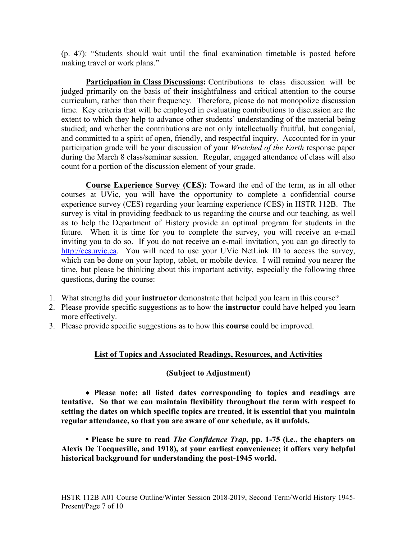(p. 47): "Students should wait until the final examination timetable is posted before making travel or work plans."

**Participation in Class Discussions:** Contributions to class discussion will be judged primarily on the basis of their insightfulness and critical attention to the course curriculum, rather than their frequency. Therefore, please do not monopolize discussion time. Key criteria that will be employed in evaluating contributions to discussion are the extent to which they help to advance other students' understanding of the material being studied; and whether the contributions are not only intellectually fruitful, but congenial, and committed to a spirit of open, friendly, and respectful inquiry. Accounted for in your participation grade will be your discussion of your *Wretched of the Earth* response paper during the March 8 class/seminar session. Regular, engaged attendance of class will also count for a portion of the discussion element of your grade.

**Course Experience Survey (CES):** Toward the end of the term, as in all other courses at UVic, you will have the opportunity to complete a confidential course experience survey (CES) regarding your learning experience (CES) in HSTR 112B. The survey is vital in providing feedback to us regarding the course and our teaching, as well as to help the Department of History provide an optimal program for students in the future. When it is time for you to complete the survey, you will receive an e-mail inviting you to do so. If you do not receive an e-mail invitation, you can go directly to [http://ces.uvic.ca.](http://ces.uvic.ca/) You will need to use your UVic NetLink ID to access the survey, which can be done on your laptop, tablet, or mobile device. I will remind you nearer the time, but please be thinking about this important activity, especially the following three questions, during the course:

- 1. What strengths did your **instructor** demonstrate that helped you learn in this course?
- 2. Please provide specific suggestions as to how the **instructor** could have helped you learn more effectively.
- 3. Please provide specific suggestions as to how this **course** could be improved.

# **List of Topics and Associated Readings, Resources, and Activities**

# **(Subject to Adjustment)**

• **Please note: all listed dates corresponding to topics and readings are tentative. So that we can maintain flexibility throughout the term with respect to setting the dates on which specific topics are treated, it is essential that you maintain regular attendance, so that you are aware of our schedule, as it unfolds.** 

**• Please be sure to read** *The Confidence Trap,* **pp. 1-75 (i.e., the chapters on Alexis De Tocqueville, and 1918), at your earliest convenience; it offers very helpful historical background for understanding the post-1945 world.**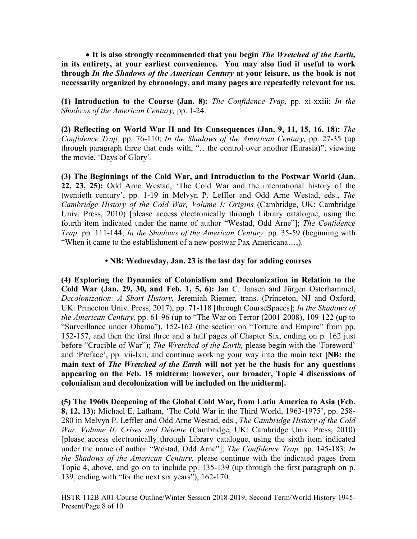• **It is also strongly recommended that you begin** *The Wretched of the Earth,* **in its entirety, at your earliest convenience. You may also find it useful to work through** *In the Shadows of the American Century* **at your leisure, as the book is not necessarily organized by chronology, and many pages are repeatedly relevant for us.**

**(1) Introduction to the Course (Jan. 8):** *The Confidence Trap,* pp. xi-xxiii; *In the Shadows of the American Century,* pp. 1-24.

**(2) Reflecting on World War II and Its Consequences (Jan. 9, 11, 15, 16, 18):** *The Confidence Trap,* pp. 76-110; *In the Shadows of the American Century,* pp. 27-35 (up through paragraph three that ends with, "…the control over another (Eurasia)"; viewing the movie, 'Days of Glory'.

**(3) The Beginnings of the Cold War, and Introduction to the Postwar World (Jan. 22, 23, 25):** Odd Arne Westad, 'The Cold War and the international history of the twentieth century', pp. 1-19 in Melvyn P. Leffler and Odd Arne Westad, eds., *The Cambridge History of the Cold War, Volume I: Origins* (Cambridge, UK: Cambridge Univ. Press, 2010) [please access electronically through Library catalogue, using the fourth item indicated under the name of author "Westad, Odd Arne"]; *The Confidence Trap,* pp. 111-144; *In the Shadows of the American Century,* pp. 35-59 (beginning with "When it came to the establishment of a new postwar Pax Americana…,).

#### **• NB: Wednesday, Jan. 23 is the last day for adding courses**

**(4) Exploring the Dynamics of Colonialism and Decolonization in Relation to the Cold War (Jan. 29, 30, and Feb. 1, 5, 6):** Jan C. Jansen and Jürgen Osterhammel, *Decolonization: A Short History,* Jeremiah Riemer, trans. (Princeton, NJ and Oxford, UK: Princeton Univ. Press, 2017), pp. 71-118 [through CourseSpaces]; *In the Shadows of the American Century,* pp. 61-96 (up to "The War on Terror (2001-2008), 109-122 (up to "Surveillance under Obama"), 152-162 (the section on "Torture and Empire" from pp. 152-157, and then the first three and a half pages of Chapter Six, ending on p. 162 just before "Crucible of War"); *The Wretched of the Earth,* please begin with the 'Foreword' and 'Preface', pp. vii-lxii, and continue working your way into the main text **[NB: the main text of** *The Wretched of the Earth* **will not yet be the basis for any questions appearing on the Feb. 15 midterm; however, our broader, Topic 4 discussions of colonialism and decolonization will be included on the midterm].**

**(5) The 1960s Deepening of the Global Cold War, from Latin America to Asia (Feb. 8, 12, 13):** Michael E. Latham, 'The Cold War in the Third World, 1963-1975', pp. 258- 280 in Melvyn P. Leffler and Odd Arne Westad, eds., *The Cambridge History of the Cold War, Volume II: Crises and Détente* (Cambridge, UK: Cambridge Univ. Press, 2010) [please access electronically through Library catalogue, using the sixth item indicated under the name of author "Westad, Odd Arne"]; *The Confidence Trap,* pp. 145-183; *In the Shadows of the American Century,* please continue with the indicated pages from Topic 4, above, and go on to include pp. 135-139 (up through the first paragraph on p. 139, ending with "for the next six years"), 162-170.

HSTR 112B A01 Course Outline/Winter Session 2018-2019, Second Term/World History 1945- Present/Page 8 of 10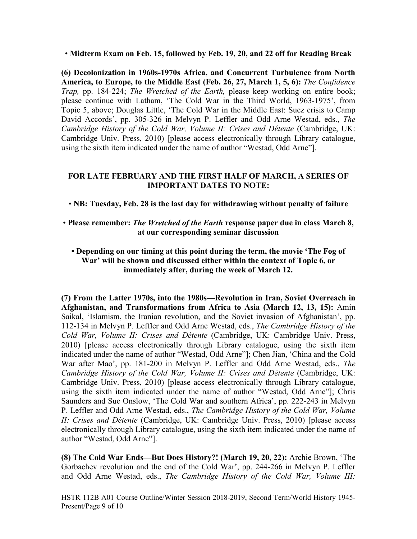• **Midterm Exam on Feb. 15, followed by Feb. 19, 20, and 22 off for Reading Break**

**(6) Decolonization in 1960s-1970s Africa, and Concurrent Turbulence from North America, to Europe, to the Middle East (Feb. 26, 27, March 1, 5, 6):** *The Confidence Trap,* pp. 184-224; *The Wretched of the Earth,* please keep working on entire book; please continue with Latham, 'The Cold War in the Third World, 1963-1975', from Topic 5, above; Douglas Little, 'The Cold War in the Middle East: Suez crisis to Camp David Accords', pp. 305-326 in Melvyn P. Leffler and Odd Arne Westad, eds., *The Cambridge History of the Cold War, Volume II: Crises and Détente (Cambridge, UK:* Cambridge Univ. Press, 2010) [please access electronically through Library catalogue, using the sixth item indicated under the name of author "Westad, Odd Arne"].

# **FOR LATE FEBRUARY AND THE FIRST HALF OF MARCH, A SERIES OF IMPORTANT DATES TO NOTE:**

• **NB: Tuesday, Feb. 28 is the last day for withdrawing without penalty of failure**

## • **Please remember:** *The Wretched of the Earth* **response paper due in class March 8, at our corresponding seminar discussion**

# **• Depending on our timing at this point during the term, the movie 'The Fog of War' will be shown and discussed either within the context of Topic 6, or immediately after, during the week of March 12.**

**(7) From the Latter 1970s, into the 1980s—Revolution in Iran, Soviet Overreach in Afghanistan, and Transformations from Africa to Asia (March 12, 13, 15):** Amin Saikal, 'Islamism, the Iranian revolution, and the Soviet invasion of Afghanistan', pp. 112-134 in Melvyn P. Leffler and Odd Arne Westad, eds., *The Cambridge History of the Cold War, Volume II: Crises and Détente* (Cambridge, UK: Cambridge Univ. Press, 2010) [please access electronically through Library catalogue, using the sixth item indicated under the name of author "Westad, Odd Arne"]; Chen Jian, 'China and the Cold War after Mao', pp. 181-200 in Melvyn P. Leffler and Odd Arne Westad, eds., *The Cambridge History of the Cold War, Volume II: Crises and Détente (Cambridge, UK:* Cambridge Univ. Press, 2010) [please access electronically through Library catalogue, using the sixth item indicated under the name of author "Westad, Odd Arne"]; Chris Saunders and Sue Onslow, 'The Cold War and southern Africa', pp. 222-243 in Melvyn P. Leffler and Odd Arne Westad, eds., *The Cambridge History of the Cold War, Volume II: Crises and Détente* (Cambridge, UK: Cambridge Univ. Press, 2010) [please access electronically through Library catalogue, using the sixth item indicated under the name of author "Westad, Odd Arne"].

**(8) The Cold War Ends—But Does History?! (March 19, 20, 22):** Archie Brown, 'The Gorbachev revolution and the end of the Cold War', pp. 244-266 in Melvyn P. Leffler and Odd Arne Westad, eds., *The Cambridge History of the Cold War, Volume III:* 

HSTR 112B A01 Course Outline/Winter Session 2018-2019, Second Term/World History 1945- Present/Page 9 of 10